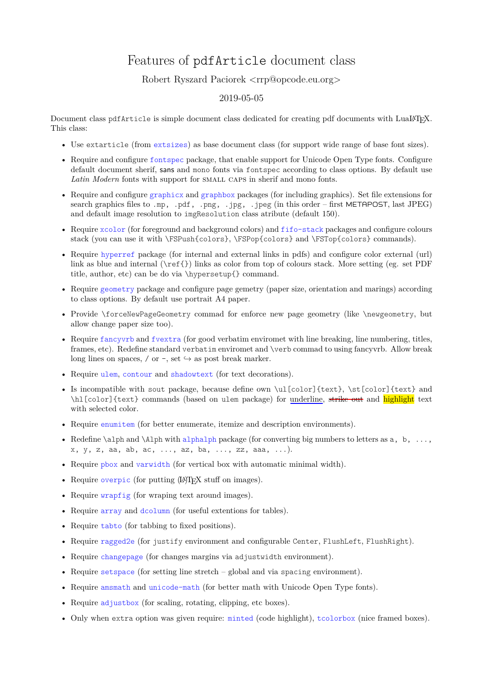## Features of pdfArticle document class

## Robert Ryszard Paciorek <rrp@opcode.eu.org>

## 2019-05-05

Document class pdf Article is simple document class dedicated for creating pdf documents with LuaL<sup>AT</sup>EX. This class:

- Use extarticle (from [extsizes](https://ctan.org/pkg/extsizes)) as base document class (for support wide range of base font sizes).
- Require and configure [fontspec](https://ctan.org/pkg/fontspec) package, that enable support for Unicode Open Type fonts. Configure default document sherif, sans and mono fonts via fontspec according to class options. By default use Latin Modern fonts with support for SMALL CAPS in sherif and mono fonts.
- Require and configure [graphicx](https://ctan.org/pkg/graphicx) and [graphbox](https://ctan.org/pkg/graphbox) packages (for including graphics). Set file extensions for search graphics files to .mp, .pdf, .png, .jpg, .jpeg (in this order – first METAPOST, last JPEG) and default image resolution to imgResolution class atribute (default 150).
- Require [xcolor](https://ctan.org/pkg/xcolor) (for foreground and background colors) and [fifo-stack](https://ctan.org/pkg/fifo-stack) packages and configure colours stack (you can use it with \FSPush{colors}, \FSPop{colors} and \FSTop{colors} commands).
- Require [hyperref](https://ctan.org/pkg/hyperref) package (for internal and external links in pdfs) and configure color external (url) link as blue and internal (\ref{}) links as color from top of colours stack. More setting (eg. set PDF title, author, etc) can be do via \hypersetup{} command.
- Require [geometry](https://ctan.org/pkg/geometry) package and configure page gemetry (paper size, orientation and marings) according to class options. By default use portrait A4 paper.
- Provide \forceNewPageGeometry commad for enforce new page geometry (like \newgeometry, but allow change paper size too).
- Require [fancyvrb](https://ctan.org/pkg/fancyvrb) and [fvextra](https://ctan.org/pkg/fvextra) (for good verbatim enviromet with line breaking, line numbering, titles, frames, etc). Redefine standard verbatim enviromet and \verb commad to using fancyvrb. Allow break long lines on spaces, / or -, set  $\hookrightarrow$  as post break marker.
- Require [ulem](https://ctan.org/pkg/ulem), [contour](https://ctan.org/pkg/contour) and [shadowtext](https://ctan.org/pkg/shadowtext) (for text decorations).
- Is incompatible with sout package, because define own \ulleolor]{text}, \st[color]{text} and \hl[color]{text} commands (based on ulem package) for underline, strike out and highlight text with selected color.
- Require [enumitem](https://ctan.org/pkg/enumitem) (for better enumerate, itemize and description environments).
- Redefine  $\alpha \Delta \Lambda$  and  $\Lambda$  with [alphalph](https://ctan.org/pkg/alphalph) package (for converting big numbers to letters as a, b, ..., x, y, z, aa, ab, ac, ..., az, ba, ..., zz, aaa, ...).
- Require [pbox](https://ctan.org/pkg/pbox) and [varwidth](https://ctan.org/pkg/varwidth) (for vertical box with automatic minimal width).
- Require [overpic](https://ctan.org/pkg/overpic) (for putting  $(A)$ F<sub>K</sub> stuff on images).
- Require [wrapfig](https://ctan.org/pkg/wrapfig) (for wraping text around images).
- Require [array](https://ctan.org/pkg/array) and [dcolumn](https://ctan.org/pkg/dcolumn) (for useful extentions for tables).
- Require [tabto](https://ctan.org/pkg/tabto) (for tabbing to fixed positions).
- Require [ragged2e](https://ctan.org/pkg/ragged2e) (for justify environment and configurable Center, FlushLeft, FlushRight).
- Require [changepage](https://ctan.org/pkg/changepage) (for changes margins via adjustwidth environment).
- Require [setspace](https://ctan.org/pkg/setspace) (for setting line stretch global and via spacing environment).
- Require [amsmath](https://ctan.org/pkg/amsmath) and [unicode-math](https://ctan.org/pkg/unicode-math) (for better math with Unicode Open Type fonts).
- Require [adjustbox](https://ctan.org/pkg/adjustbox) (for scaling, rotating, clipping, etc boxes).
- Only when extra option was given require: [minted](https://ctan.org/pkg/minted) (code highlight), [tcolorbox](https://ctan.org/pkg/tcolorbox) (nice framed boxes).